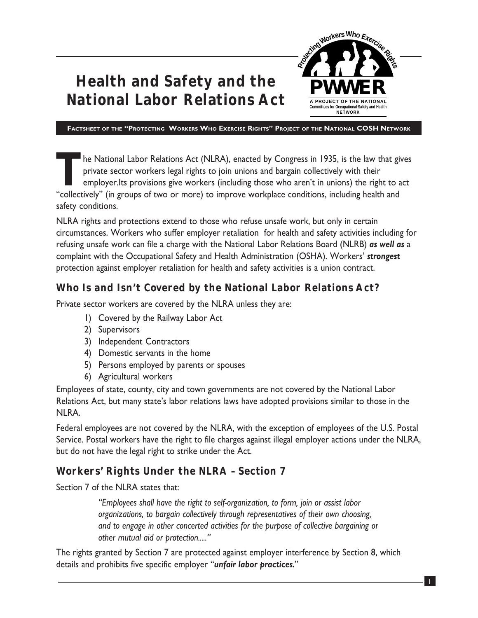# **Health and Safety and the National Labor Relations Act**



**FACTSHEET OF THE "PROTECTING WORKERS WHO EXERCISE RIGHTS" PROJECT OF THE NATIONAL COSH NETWORK**

TTP The National Labor Relations Act (NLRA), enacted by Congress in 1935, is the law that gives<br>private sector workers legal rights to join unions and bargain collectively with their<br>employer.Its provisions give workers (i private sector workers legal rights to join unions and bargain collectively with their "collectively" (in groups of two or more) to improve workplace conditions, including health and safety conditions.

NLRA rights and protections extend to those who refuse unsafe work, but only in certain circumstances. Workers who suffer employer retaliation for health and safety activities including for refusing unsafe work can file a charge with the National Labor Relations Board (NLRB) *as well as* a complaint with the Occupational Safety and Health Administration (OSHA). Workers' *strongest* protection against employer retaliation for health and safety activities is a union contract.

#### **Who Is and Isn't Covered by the National Labor Relations Act?**

Private sector workers are covered by the NLRA unless they are:

- 1) Covered by the Railway Labor Act
- 2) Supervisors
- 3) Independent Contractors
- 4) Domestic servants in the home
- 5) Persons employed by parents or spouses
- 6) Agricultural workers

Employees of state, county, city and town governments are not covered by the National Labor Relations Act, but many state's labor relations laws have adopted provisions similar to those in the NLRA.

Federal employees are not covered by the NLRA, with the exception of employees of the U.S. Postal Service. Postal workers have the right to file charges against illegal employer actions under the NLRA, but do not have the legal right to strike under the Act.

#### **Workers' Rights Under the NLRA – Section 7**

Section 7 of the NLRA states that:

*"Employees shall have the right to self-organization, to form, join or assist labor organizations, to bargain collectively through representatives of their own choosing, and to engage in other concerted activities for the purpose of collective bargaining or other mutual aid or protection....."*

The rights granted by Section 7 are protected against employer interference by Section 8, which details and prohibits five specific employer "*unfair labor practices.*"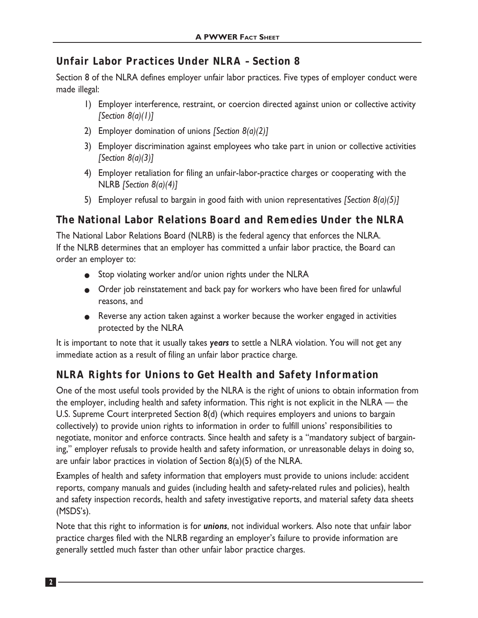#### **Unfair Labor Practices Under NLRA – Section 8**

Section 8 of the NLRA defines employer unfair labor practices. Five types of employer conduct were made illegal:

- 1) Employer interference, restraint, or coercion directed against union or collective activity *[Section 8(a)(1)]*
- 2) Employer domination of unions *[Section 8(a)(2)]*
- 3) Employer discrimination against employees who take part in union or collective activities *[Section 8(a)(3)]*
- 4) Employer retaliation for filing an unfair-labor-practice charges or cooperating with the NLRB *[Section 8(a)(4)]*
- 5) Employer refusal to bargain in good faith with union representatives *[Section 8(a)(5)]*

#### **The National Labor Relations Board and Remedies Under the NLRA**

The National Labor Relations Board (NLRB) is the federal agency that enforces the NLRA. If the NLRB determines that an employer has committed a unfair labor practice, the Board can order an employer to:

- Stop violating worker and/or union rights under the NLRA
- Order job reinstatement and back pay for workers who have been fired for unlawful reasons, and
- Reverse any action taken against a worker because the worker engaged in activities protected by the NLRA

It is important to note that it usually takes *years* to settle a NLRA violation. You will not get any immediate action as a result of filing an unfair labor practice charge.

# **NLRA Rights for Unions to Get Health and Safety Information**

One of the most useful tools provided by the NLRA is the right of unions to obtain information from the employer, including health and safety information. This right is not explicit in the NLRA — the U.S. Supreme Court interpreted Section 8(d) (which requires employers and unions to bargain collectively) to provide union rights to information in order to fulfill unions' responsibilities to negotiate, monitor and enforce contracts. Since health and safety is a "mandatory subject of bargaining," employer refusals to provide health and safety information, or unreasonable delays in doing so, are unfair labor practices in violation of Section 8(a)(5) of the NLRA.

Examples of health and safety information that employers must provide to unions include: accident reports, company manuals and guides (including health and safety-related rules and policies), health and safety inspection records, health and safety investigative reports, and material safety data sheets (MSDS's).

Note that this right to information is for *unions*, not individual workers. Also note that unfair labor practice charges filed with the NLRB regarding an employer's failure to provide information are generally settled much faster than other unfair labor practice charges.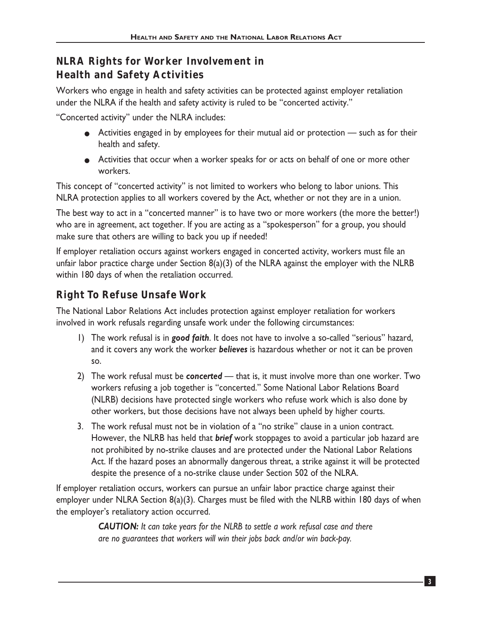# **NLRA Rights for Worker Involvement in Health and Safety Activities**

Workers who engage in health and safety activities can be protected against employer retaliation under the NLRA if the health and safety activity is ruled to be "concerted activity."

"Concerted activity" under the NLRA includes:

- Activities engaged in by employees for their mutual aid or protection such as for their health and safety.
- Activities that occur when a worker speaks for or acts on behalf of one or more other workers.

This concept of "concerted activity" is not limited to workers who belong to labor unions. This NLRA protection applies to all workers covered by the Act, whether or not they are in a union.

The best way to act in a "concerted manner" is to have two or more workers (the more the better!) who are in agreement, act together. If you are acting as a "spokesperson" for a group, you should make sure that others are willing to back you up if needed!

If employer retaliation occurs against workers engaged in concerted activity, workers must file an unfair labor practice charge under Section  $B(a)(3)$  of the NLRA against the employer with the NLRB within 180 days of when the retaliation occurred.

# **Right To Refuse Unsafe Work**

The National Labor Relations Act includes protection against employer retaliation for workers involved in work refusals regarding unsafe work under the following circumstances:

- 1) The work refusal is in *good faith*. It does not have to involve a so-called "serious" hazard, and it covers any work the worker *believes* is hazardous whether or not it can be proven so.
- 2) The work refusal must be *concerted* that is, it must involve more than one worker. Two workers refusing a job together is "concerted." Some National Labor Relations Board (NLRB) decisions have protected single workers who refuse work which is also done by other workers, but those decisions have not always been upheld by higher courts.
- 3. The work refusal must not be in violation of a "no strike" clause in a union contract. However, the NLRB has held that *brief* work stoppages to avoid a particular job hazard are not prohibited by no-strike clauses and are protected under the National Labor Relations Act. If the hazard poses an abnormally dangerous threat, a strike against it will be protected despite the presence of a no-strike clause under Section 502 of the NLRA.

If employer retaliation occurs, workers can pursue an unfair labor practice charge against their employer under NLRA Section 8(a)(3). Charges must be filed with the NLRB within 180 days of when the employer's retaliatory action occurred.

> *CAUTION: It can take years for the NLRB to settle a work refusal case and there are no guarantees that workers will win their jobs back and/or win back-pay.*